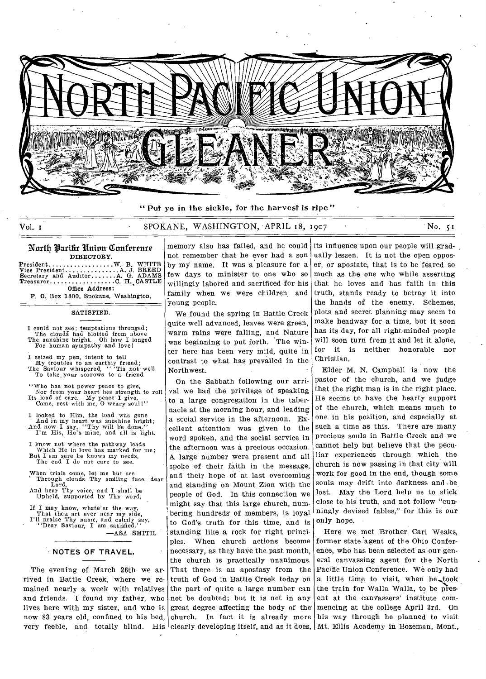

" Put ye in the sickle, for the harvest is ripe"

Vol. 1 . SPOKANE, WASHINGTON, APRIL 18, 1907 No. 51

### North Parific Union Conference DIRECTORY.

President...........<br>Vice President........<br>Secretary and Auditor.<br>Treasurer............ Office Address: W. B. WHITE<br>.A. J. BREED<br>.A. G. ADAMS<br>.C. H. CASTLE

P. O. Box 1800, Spokane, Washington.

### SATISFIED.

I could not see; temptations thronged; The clouds had blotted from above The sunshine bright. Oh how I longed For human sympathy and love I

- I seized my pen, intent to tell My troubles to an earthly friend; The Saviour whispered, " 'Tis not well To take\_ your sorrows to a friend
- Who has not power peace to give Nor from your heart hes strength to roll Its load of care. My peace I give, Come, rest with me, 0 weary soul!"
- I looked to Him, the load was gone And in my heart was sunshine bright;<br>And now I say, "Thy will be done,"<br>I'm His, He's mine, and all is light.
- I know not where the pathway leads Which He in love has marked for me; But I am sure he knows my needs, The end I do not care to see.
- When trials come, let me but see Through clouds Thy smiling face, dear Lord,
- And hear Thy voice, and I shall be Upheld, supported by Thy word.
- If I may know, whate' er the way, That thou art ever near my side, I'll praise Thy name, and calmly say, "Dear Saviour, I am satisfied."

—ASA SMITH.

### **NOTES OF TRAVEL.**

The evening of March 26th we arrived in Battle Creek, where we remained nearly a week with relatives and friends. I found my father, who lives here with my sister, and who is now 83 years old, confined to his bed, very feeble, and totally blind. His clearly developing itself, and as it does, Mt. Ellis Academy in Bozeman, Mont.,

memory also has failed, and he could not remember that he ever had a son by my name. It was a pleasure for a few days to minister to one who so willingly labored and sacrificed for his family when we were children and young people.

We found the spring in Battle Creek quite well advanced, leaves were green, warm rains were falling, and Nature was beginning to put forth. The winter here has been very mild, quite in contrast to what has prevailed in the Northwest.

On the Sabbath following our arrival we had the privilege of speaking to a large congregation in the tabernacle at the morning hour, and leading a social service in the afternoon. Excellent attention was given to the word spoken, and the social service in the afternoon was a precious occasion. A large number were present and all spoke of their faith in the message, and their hope of at last overcoming and standing on Mount Zion with the people of God. In this connection we might say that this large church, numbering hundreds' of members, is loyal to God's truth for this time, and is standing like a rock for right principles. When church actions become necessary, as they have the past month, the church is practically unanimous. That there is an apostasy from the truth of God in Battle Creek today on the part of quite a large number can not be doubted; but it is not in any great degree affecting the body of the' church. In fact it is already more

its influence upon our people will gradually lessen. It is not the open opposer, or apostate, that is to be feared so much as the one who while asserting that he loves and has faith in this truth, stands ready to betray it into the hands of the enemy. Schemes, plots and secret planning may seem to make headway for a time, but it soon has its day, for all right-minded people will soon turn from it and let it alone, for it is neither honorable nor Christian.

Elder M. N. Campbell is now the pastor of the church, and we judge that the right man is in the right place. He seems to have the hearty support of the church, which means much to one in his position, and especially at such a time as this. There are many precious souls in Battle Creek and we cannot help but believe that the peculiar experiences through which the church is now passing in that city will work for good in the end, though some souls may drift into darkness and .be lost. May the Lord help us to stick close to his truth, and not follow "cunningly devised fables," for this is our only hope.

Here we met Brother Carl Weaks, former state agent of the Ohio Conference, who has been selected as our general canvassing agent for the North Pacific Union Conference. We only had a little time to visit, when he took the train for Walla Walla, to be present at the canvassers' institute commencing at the college April 3rd. On his way through he planned to visit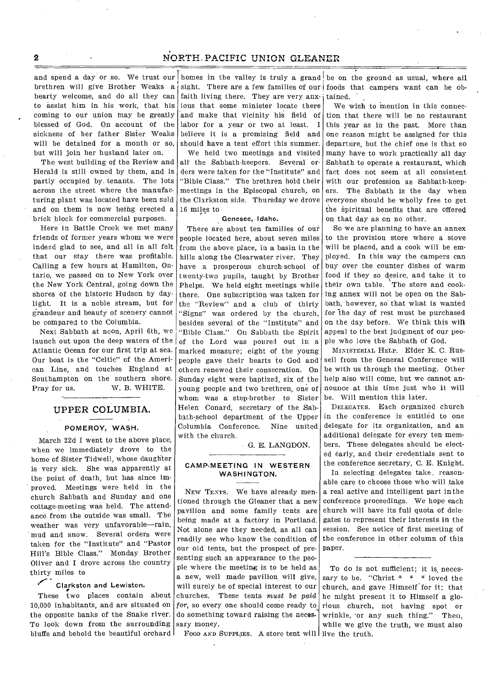# **2** NORTH PACIFIC UNION GLEANER

and spend a day or so. We trust our homes in the valley is truly a grand be on the ground as usual, where all hearty welcome, and do all they can to assist him in his work, that his coming to our union may be greatly blessed of God. On account of the sickness of her father Sister Weaks will be detained for a month or so, but will join her husband later on.

The west building of the Review and Herald is still owned by them, and is partly occupied by. tenants. The lots across the street where the manufacturing plant was located have been sold and on them is now being erected a brick block for commercial purposes.

Here in Battle Creek we met many friends of former years whom we were indeed glad to see, and all in all felt that our stay there was profitable. Calling a few hours at Hamilton, Ontario, we passed on to New York over the New York Central, going down the shores of the historic Hudson by daylight. It is a noble stream, but for grandeur and beauty of scenery cannot be compared to the Columbia.

Next Sabbath at noon, April 6th, we launch out upon the deep waters of the Atlantic Ocean for our first trip at sea. Our boat is the "Celtic" of the American Line, and touches England at Southampton on the southern shore. Pray for us. W. B. WHITE.

### UPPER COLUMBIA.

### POMEROY, WASH.

March 22d I went to the above place, when we immediately drove to the home of Sister Tidwell, whose daughter is very sick. She was apparently at the point of death, but has since improved. Meetings were held in the church Sabbath and Sunday and one cottage-meeting was held. The attendance from the outside was small. The weather was very unfavorable—rain, mud and snow. Several orders were taken for the "Institute" and "Pastor Hill's Bible Class." Monday Brother Oliver and I drove across the country thirty miles to

### Clarkston and Lewiston.

These two places contain about 10,000 inhabitants, and are situated on the opposite banks of the Snake river. To look down from the surrounding bluffs and behold the beautiful orchard

brethren will give Brother Weaks a sight. There are a few families of our foods that campers want can be obfaith living there. They are very anx-j tained. ious that some minister locate there 'and make that vicinity his field of labor for a year or two at least. I believe it is a promising field and should have a tent effort this summer.

> We held two meetings and visited all the Sabbath-keepers. Several orders were taken for the "Institute" and "Bible Class." The brethren hold their meetings in the Episcopal church, on the Clarkston side. Thursday we drove 16 miles to

#### Genesee, Idaho.

There are about ten families of out people located here, about seven miles from the above place, in a basin in the hills along the Clearwater river. They have a prosperous church-school of twenty-two pupils, taught by Brother Phelps. We held eight meetings while there. One subscription was taken for the "Review" and a club of thirty "Signs" was ordered by the church, besides several of the "Institute" and "Bible Class." On Sabbath the Spirit of the Lord was poured out in a marked measure; eight of the young people gave their hearts to God and others renewed their consecration. On Sunday eight were baptized, six of the young people and two brethren, one of whom was a step-brother to Sister Helen Conard, secretary of the Sabbath-school department of the Upper Columbia Conference. Nine united with the church.

G. E. LANGDON.

### CAMP-MEETING IN WESTERN WASHINGTON.

NEW TENTS. We have already mentioned through the Gleaner that a new pavilion and some family tents are being made at a factory in Portland. Not alone are they needed, as all can readily see who- know the condition of our old tents, but the prospect of presenting such an appearance to the people where the meeting is to be held as a new, well made pavilion will give, will surely be of special interest to our churches. These tents *must be paid*  for, so every one should come ready to do something toward raising the necessary money.

FOOD AND SUPPLIES. A store tent will live the truth.

We wish to mention in this connection that there will be no restaurant this year as in the past. More than one reason might be assigned for this departure, but the chief one is that so many have to work practically all day Sabbath to operate a restaurant, which fact does not seem at all consistent with our profession as Sabbath-keepers. The Sabbath is the day when everyone should be wholly free to get the spiritual benefits that are offered on that day as on no other.

So we are planning to have an annex to the provision store where a stove will be placed, and a cook will be employed. In this way the campers can buy over the counter dishes of warm food if they so desire, and take it to their own table. The store and cooking annex will not be open on the Sabbath, however, so that what is wanted for the day of rest must be purchased on the day before. We think this will appeal to the best judgment of our people who love the Sabbath of God.

MINISTERIAL HELP. Elder K. C. Russell from the General Conference will be with us through the meeting. Other help also will come, but we cannot announce at this time just who it will be. Will mention this later.

DELEGATES. Each organized church in the conference is entitled to one delegate for its organization, and an additional delegate for every ten members. These delegates should be elected early, and their credentials sent to the conference secretary, C. E. Knight.

In selecting delegates take, reasonable care to choose those who will take a real active and intelligent part in the conference proceedings. We hope each church will have its full quota of delegates to represent their interests in the session. See notice of first meeting of the conference in other column of this paper.

To do is not sufficient; it is, necessary to be. "Christ  $* * *$  loved the church, and gave Himself for it; that he might present it to Himself a glorious church, not having spot or wrinkle, 'or any such thing." Then, while we give the truth, we must also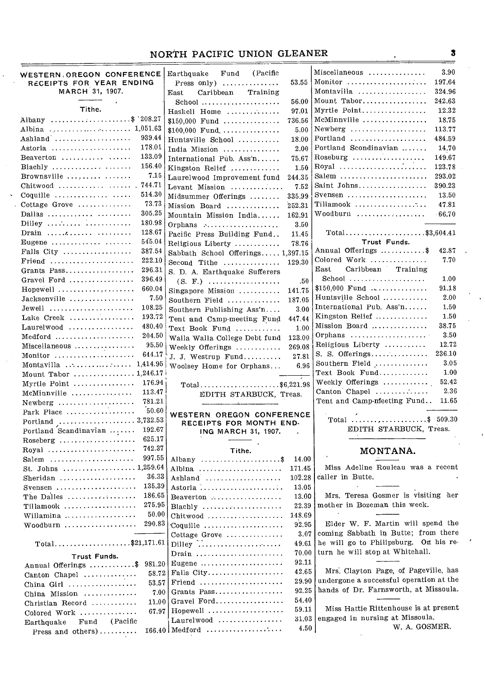# NORTH PACIFIC UNION GLEANER 3

| <b>WESTERN OREGON CONFERENCE</b><br>RECEIPTS FOR YEAR ENDING | (Pacific<br>Earthquake<br>Fund<br>53.55<br>Press only) $\dots\dots\dots\dots$ | 3.90<br>Miscellaneous<br>Monitor<br>197.64                |
|--------------------------------------------------------------|-------------------------------------------------------------------------------|-----------------------------------------------------------|
| MARCH 31, 1907.                                              | Caribbean<br>Training<br>East                                                 | Montavilla<br>324.96                                      |
|                                                              | 56.00<br>$School$                                                             | Mount Tabor<br>242.63                                     |
| Tithe.                                                       | 97.01<br>Haskell Home                                                         | Myrtle Point<br>12.32                                     |
| Albany \$ 208.27                                             | 736.56<br>$$150,000$ Fund                                                     | McMinnville<br>18.75                                      |
|                                                              | 5.00<br>$$100,000$ Fund                                                       | Newberg $\dots\dots\dots\dots\dots\dots\dots$<br>113.77   |
| 939.44<br>Ashland $\ldots \ldots \ldots \ldots \ldots$       | 18.00<br>Huntsville School                                                    | Portland<br>484.59                                        |
| Astoria<br>178.01                                            | 2.00                                                                          | Portland Scondinavian<br>14.70                            |
| 133.09<br>Beaverton $\cdots$                                 | India Mission<br>75.67                                                        | Roseburg<br>149.67                                        |
| 156.40<br>Blachly                                            | International Pub. $Assn$                                                     | 123.78                                                    |
| 7.15<br>Brownsville                                          | Kingston Relief<br>1.50                                                       | Salem<br>293.02                                           |
| 744.71<br>Chitwood                                           | 244.35<br>Laurelwood Improvement fund                                         | Saint Johns<br>390.23                                     |
| 514.30<br>Coquille                                           | 7.52<br>Levant Mission                                                        | Svensen $\ldots, \ldots, \ldots, \ldots, \ldots$<br>13.50 |
| 73.73<br>Cottage Grove                                       | 335.99<br>Midsummer Offerings                                                 | Tillamook<br>47.81                                        |
| 305.25<br>Dallas                                             | 252.31<br>Mission Board                                                       | Woodburn<br>$-66.70$                                      |
| 180.98                                                       | 162.91<br>Mountain Mission India                                              |                                                           |
| 128.67<br>Drain                                              | Orphans<br>3.50                                                               | Total\$3,604.41                                           |
| 545.04<br>Eugene                                             | 11.45<br>Pacific Press Building Fund                                          | Trust Funds.                                              |
| 387.54<br>Falls City                                         | 78.76<br>Religious Liberty                                                    | Annual Offerings \$<br>42.87                              |
| 222.10<br>$\text{Friend}$                                    | Sabbath School Offerings 1,397.15                                             | Colored Work<br>7.70                                      |
| 296.31                                                       | 129.30<br>Second Tithe                                                        | Caribbean<br>Training<br>$\rm East$                       |
| Grants Pass                                                  | S. D. A. Earthquake Sufferers                                                 | $School$<br>1.00                                          |
| 396.49<br>Gravel Ford                                        | .50<br>$(S. F.)$                                                              | \$150,000 Fund<br>91.18                                   |
| 660.04<br>Hopewell                                           | 141.75<br>Singapore Mission                                                   | 2.00<br>Huntsville School                                 |
| 7.50<br>Jacksonville                                         | 187.05<br>Southern Field                                                      | 1.50                                                      |
| 108.25<br>$Jewel1$                                           | 3.00<br>Southern Publishing Ass'n                                             | International Pub. Ass'n                                  |
| Lake Creek<br>193.72                                         | 447.44<br>Tent and Camp-meeting Fund                                          | Kingston Relief<br>1.50                                   |
| 480.40<br>$Laurelwood$                                       | 1.00<br>Text Book Fund                                                        | Mission Board<br>38.75                                    |
| 204.50<br>Medford                                            | 123.00<br>Walla Walla College Debt fund                                       | 3.50                                                      |
| 95.50<br>Miscellaneous                                       | 269.08<br>Weekly Offerings                                                    | Religious Liberty<br>12.72                                |
| 644.17<br>Monitor                                            | 27.81<br>J. J. Westrup Fund                                                   | 236.10<br>S. S. Offerings                                 |
| Montavilla  1,414.95                                         | 6.96<br>Woolsey Home for Orphans                                              | Southern Field<br>3.05                                    |
| Mount Tabor  1,246.17                                        |                                                                               | 1.00                                                      |
| 176.94<br>Myrtle Point                                       | Total\$6,221.98                                                               | 52.42<br>Weekly Offerings $\ldots \ldots \ldots$          |
| 113.47<br>McMinnville                                        | EDITH STARBUCK, Treas.                                                        | 2.36<br>Canton Chapel                                     |
| 781.21<br>$Newberg$                                          |                                                                               | Tent and Camp-meeting Fund<br>11.65                       |
| 50.60<br>Park Place                                          | WESTERN OREGON CONFERENCE                                                     | Total $\ldots \ldots \ldots \ldots \ldots$ . \$ 509.30    |
|                                                              | RECEIPTS FOR MONTH END-                                                       |                                                           |
| 192.67<br>Portland Scandinavian                              | ING MARCH 31, 1907.                                                           | EDITH STARBUCK, Treas.                                    |
| 625.17                                                       |                                                                               |                                                           |
| 742.37<br>$Royal$                                            | Tithe.                                                                        | MONTANA.                                                  |
| 997.55<br>Salem $\dots\dots\dots\dots\dots\dots\dots\dots$   | Albany $\ldots \ldots \ldots \ldots \ldots \$<br>14.00                        |                                                           |
| St. Johns  1,259.64                                          | 171.45<br>Albina                                                              | Miss Adeline Rouleau was a recent                         |
| 36.33<br>Sheridan                                            | 102.28<br>Ashland                                                             | caller in Butte.                                          |
| 135.39<br>Svensen $\dots\dots\dots\dots\dots\dots\dots$      | Astoria<br>13.05                                                              |                                                           |
| 186.65<br>The Dalles                                         | 13.00<br>$Beaverton$                                                          | Mrs. Teresa Gosmer is visiting her                        |
| Tillamook<br>275.95                                          | 22.39<br>$Blachly$                                                            | mother in Bozeman this week.                              |
| 50.00<br>Willamina                                           | 148.69<br>$Chitwood$                                                          |                                                           |
| 290.83<br>Woodburn                                           | 92.95<br>Coquille                                                             | Elder W. F. Martin will spend the                         |
|                                                              | 3.07<br>Cottage Grove                                                         | coming Sabbath in Butte; from there                       |
| $Total$ \$21,171.61                                          | 49.61                                                                         | he will go to Philipsburg. On his re-                     |
| Trust Funds.                                                 | 70.00<br>$Drain \dots \dots \dots \dots \dots \dots \dots \dots$              | turn he will stop at Whitehall.                           |
| Annual Offerings \$ 981.20                                   | 92.11<br>Eugene $\dots\dots\dots\dots\dots\dots\dots\dots$                    |                                                           |
| 58.72<br>Canton Chapel                                       | 42.65<br>Falls City                                                           | Mrs. Clayton Page, of Pageville, has                      |
| 53,57<br>China Girl                                          | 29.90<br>$\text{Friend}$                                                      | undergone a successful operation at the                   |
| 7.00<br>China Mission                                        | 92.25<br>Grants Pass                                                          | hands of Dr. Farnsworth, at Missoula.                     |
| 11.00<br>Christian Record                                    | 54.40<br>Gravel Ford                                                          |                                                           |
| 67.97<br>Colored Work                                        | 59.11<br>Hopewell                                                             | Miss Hattie Rittenhouse is at present                     |
| (Pacific<br>Fund<br>Earthquake                               | 31.03<br>Laurelwood                                                           | engaged in nursing at Missoula.                           |
| Press and others)                                            | 4.50<br>$166.40$   Medford                                                    | W. A. GOSMER.                                             |
|                                                              |                                                                               |                                                           |